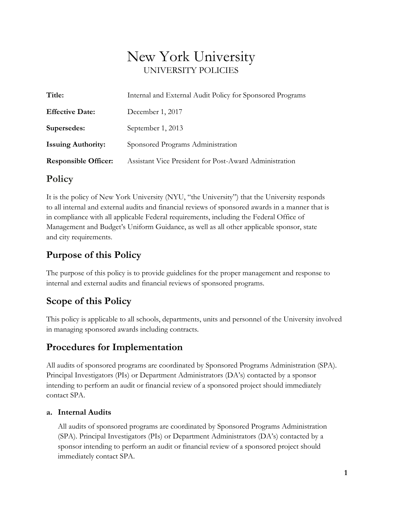# New York University UNIVERSITY POLICIES

| December 1, 2017<br><b>Effective Date:</b>                                            |  |
|---------------------------------------------------------------------------------------|--|
| September 1, 2013<br>Supersedes:                                                      |  |
| <b>Issuing Authority:</b><br>Sponsored Programs Administration                        |  |
| <b>Responsible Officer:</b><br>Assistant Vice President for Post-Award Administration |  |

## **Policy**

It is the policy of New York University (NYU, "the University") that the University responds to all internal and external audits and financial reviews of sponsored awards in a manner that is in compliance with all applicable Federal requirements, including the Federal Office of Management and Budget's Uniform Guidance, as well as all other applicable sponsor, state and city requirements.

# **Purpose of this Policy**

The purpose of this policy is to provide guidelines for the proper management and response to internal and external audits and financial reviews of sponsored programs.

# **Scope of this Policy**

This policy is applicable to all schools, departments, units and personnel of the University involved in managing sponsored awards including contracts.

# **Procedures for Implementation**

All audits of sponsored programs are coordinated by Sponsored Programs Administration (SPA). Principal Investigators (PIs) or Department Administrators (DA's) contacted by a sponsor intending to perform an audit or financial review of a sponsored project should immediately contact SPA.

#### **a. Internal Audits**

All audits of sponsored programs are coordinated by Sponsored Programs Administration (SPA). Principal Investigators (PIs) or Department Administrators (DA's) contacted by a sponsor intending to perform an audit or financial review of a sponsored project should immediately contact SPA.